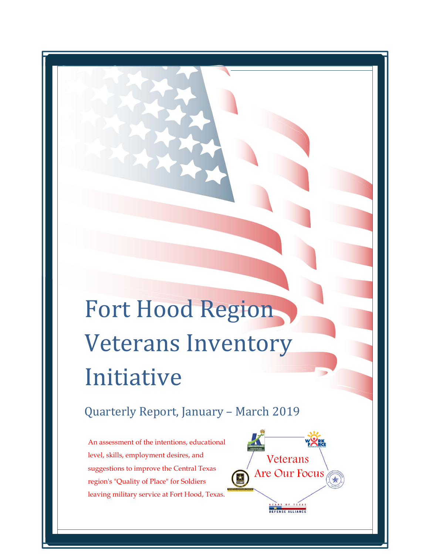# Fort Hood Region Veterans Inventory Initiative

## Quarterly Report, January – March 2019

An assessment of the intentions, educational level, skills, employment desires, and suggestions to improve the Central Texas region's "Quality of Place" for Soldiers leaving military service at Fort Hood, Texas.

 $\overline{a}$ 

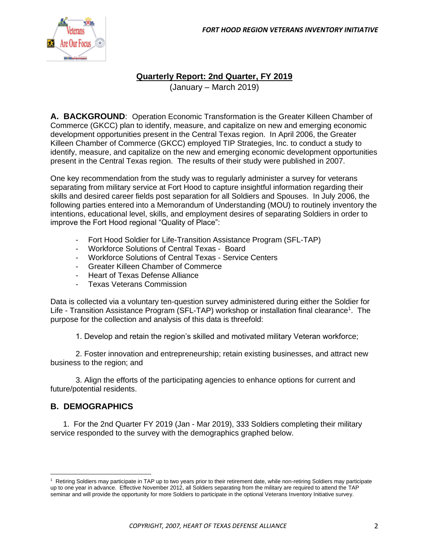

#### **Quarterly Report: 2nd Quarter, FY 2019**

(January – March 2019)

**A. BACKGROUND**: Operation Economic Transformation is the Greater Killeen Chamber of Commerce (GKCC) plan to identify, measure, and capitalize on new and emerging economic development opportunities present in the Central Texas region. In April 2006, the Greater Killeen Chamber of Commerce (GKCC) employed TIP Strategies, Inc. to conduct a study to identify, measure, and capitalize on the new and emerging economic development opportunities present in the Central Texas region. The results of their study were published in 2007.

One key recommendation from the study was to regularly administer a survey for veterans separating from military service at Fort Hood to capture insightful information regarding their skills and desired career fields post separation for all Soldiers and Spouses. In July 2006, the following parties entered into a Memorandum of Understanding (MOU) to routinely inventory the intentions, educational level, skills, and employment desires of separating Soldiers in order to improve the Fort Hood regional "Quality of Place":

- Fort Hood Soldier for Life-Transition Assistance Program (SFL-TAP)
- Workforce Solutions of Central Texas Board
- Workforce Solutions of Central Texas Service Centers
- Greater Killeen Chamber of Commerce
- Heart of Texas Defense Alliance
- Texas Veterans Commission

Data is collected via a voluntary ten-question survey administered during either the Soldier for Life - Transition Assistance Program (SFL-TAP) workshop or installation final clearance<sup>1</sup>. The purpose for the collection and analysis of this data is threefold:

1. Develop and retain the region's skilled and motivated military Veteran workforce;

2. Foster innovation and entrepreneurship; retain existing businesses, and attract new business to the region; and

3. Align the efforts of the participating agencies to enhance options for current and future/potential residents.

#### **B. DEMOGRAPHICS**

1. For the 2nd Quarter FY 2019 (Jan - Mar 2019), 333 Soldiers completing their military service responded to the survey with the demographics graphed below.

<sup>&</sup>lt;sup>1</sup> Retiring Soldiers may participate in TAP up to two years prior to their retirement date, while non-retiring Soldiers may participate up to one year in advance. Effective November 2012, all Soldiers separating from the military are required to attend the TAP seminar and will provide the opportunity for more Soldiers to participate in the optional Veterans Inventory Initiative survey.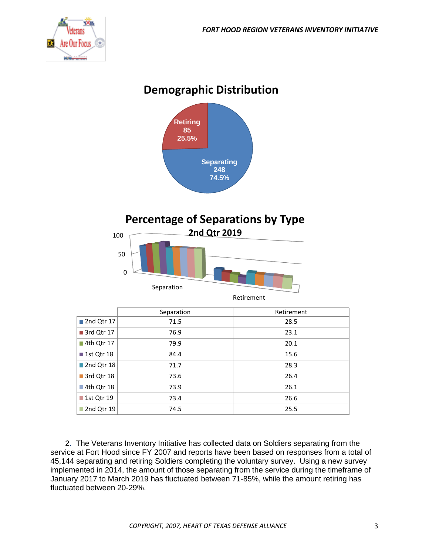

## **Demographic Distribution**



## **Percentage of Separations by Type**



|                 | Separation | Retirement |
|-----------------|------------|------------|
| ■ 2nd Qtr 17    | 71.5       | 28.5       |
| 3rd Qtr 17      | 76.9       | 23.1       |
| ■ 4th Qtr 17    | 79.9       | 20.1       |
| ■ 1st Qtr 18    | 84.4       | 15.6       |
| 2nd Qtr 18      | 71.7       | 28.3       |
| ■ 3rd Qtr 18    | 73.6       | 26.4       |
| 4th Qtr 18      | 73.9       | 26.1       |
| ■ 1st Qtr 19    | 73.4       | 26.6       |
| 2nd Qtr 19<br>П | 74.5       | 25.5       |

2. The Veterans Inventory Initiative has collected data on Soldiers separating from the service at Fort Hood since FY 2007 and reports have been based on responses from a total of 45,144 separating and retiring Soldiers completing the voluntary survey. Using a new survey implemented in 2014, the amount of those separating from the service during the timeframe of January 2017 to March 2019 has fluctuated between 71-85%, while the amount retiring has fluctuated between 20-29%.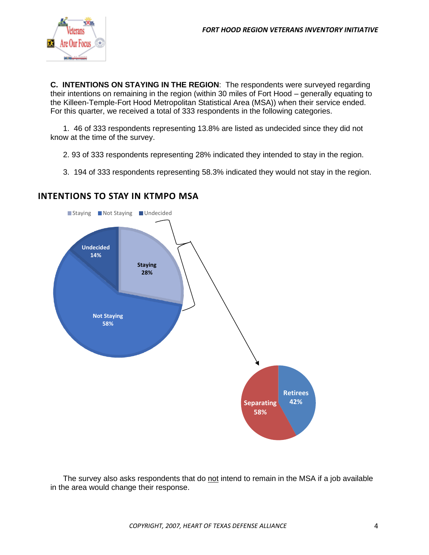

**C. INTENTIONS ON STAYING IN THE REGION**: The respondents were surveyed regarding their intentions on remaining in the region (within 30 miles of Fort Hood – generally equating to the Killeen-Temple-Fort Hood Metropolitan Statistical Area (MSA)) when their service ended. For this quarter, we received a total of 333 respondents in the following categories.

1. 46 of 333 respondents representing 13.8% are listed as undecided since they did not know at the time of the survey.

- 2. 93 of 333 respondents representing 28% indicated they intended to stay in the region.
- 3. 194 of 333 respondents representing 58.3% indicated they would not stay in the region.



#### **INTENTIONS TO STAY IN KTMPO MSA**

The survey also asks respondents that do not intend to remain in the MSA if a job available in the area would change their response.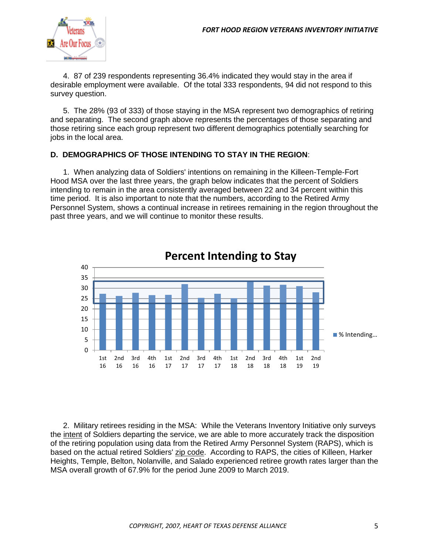

4. 87 of 239 respondents representing 36.4% indicated they would stay in the area if desirable employment were available. Of the total 333 respondents, 94 did not respond to this survey question.

5. The 28% (93 of 333) of those staying in the MSA represent two demographics of retiring and separating. The second graph above represents the percentages of those separating and those retiring since each group represent two different demographics potentially searching for jobs in the local area.

#### **D. DEMOGRAPHICS OF THOSE INTENDING TO STAY IN THE REGION**:

1. When analyzing data of Soldiers' intentions on remaining in the Killeen-Temple-Fort Hood MSA over the last three years, the graph below indicates that the percent of Soldiers intending to remain in the area consistently averaged between 22 and 34 percent within this time period. It is also important to note that the numbers, according to the Retired Army Personnel System, shows a continual increase in retirees remaining in the region throughout the past three years, and we will continue to monitor these results.



### **Percent Intending to Stay**

2. Military retirees residing in the MSA: While the Veterans Inventory Initiative only surveys the intent of Soldiers departing the service, we are able to more accurately track the disposition of the retiring population using data from the Retired Army Personnel System (RAPS), which is based on the actual retired Soldiers' zip code. According to RAPS, the cities of Killeen, Harker Heights, Temple, Belton, Nolanville, and Salado experienced retiree growth rates larger than the MSA overall growth of 67.9% for the period June 2009 to March 2019.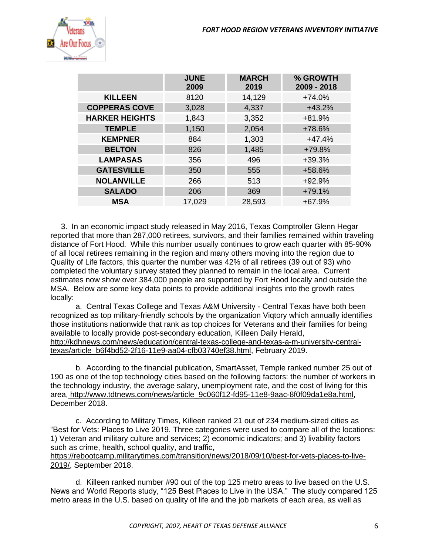

|                       | <b>JUNE</b><br>2009 | <b>MARCH</b><br>2019 | % GROWTH<br>2009 - 2018 |
|-----------------------|---------------------|----------------------|-------------------------|
| <b>KILLEEN</b>        | 8120                | 14,129               | $+74.0%$                |
| <b>COPPERAS COVE</b>  | 3,028               | 4,337                | $+43.2%$                |
| <b>HARKER HEIGHTS</b> | 1,843               | 3,352                | $+81.9%$                |
| <b>TEMPLE</b>         | 1,150               | 2,054                | +78.6%                  |
| <b>KEMPNER</b>        | 884                 | 1,303                | $+47.4%$                |
| <b>BELTON</b>         | 826                 | 1,485                | +79.8%                  |
| <b>LAMPASAS</b>       | 356                 | 496                  | $+39.3%$                |
| <b>GATESVILLE</b>     | 350                 | 555                  | +58.6%                  |
| <b>NOLANVILLE</b>     | 266                 | 513                  | $+92.9%$                |
| <b>SALADO</b>         | 206                 | 369                  | $+79.1%$                |
| <b>MSA</b>            | 17,029              | 28,593               | $+67.9%$                |

 3. In an economic impact study released in May 2016, Texas Comptroller Glenn Hegar reported that more than 287,000 retirees, survivors, and their families remained within traveling distance of Fort Hood. While this number usually continues to grow each quarter with 85-90% of all local retirees remaining in the region and many others moving into the region due to Quality of Life factors, this quarter the number was 42% of all retirees (39 out of 93) who completed the voluntary survey stated they planned to remain in the local area. Current estimates now show over 384,000 people are supported by Fort Hood locally and outside the MSA. Below are some key data points to provide additional insights into the growth rates locally:

a. Central Texas College and Texas A&M University - Central Texas have both been recognized as top military-friendly schools by the organization Viqtory which annually identifies those institutions nationwide that rank as top choices for Veterans and their families for being available to locally provide post-secondary education, Killeen Daily Herald, [http://kdhnews.com/news/education/central-texas-college-and-texas-a-m-university-central](http://kdhnews.com/news/education/central-texas-college-and-texas-a-m-university-central-texas/article_b6f4bd52-2f16-11e9-aa04-cfb03740ef38.html)[texas/article\\_b6f4bd52-2f16-11e9-aa04-cfb03740ef38.html,](http://kdhnews.com/news/education/central-texas-college-and-texas-a-m-university-central-texas/article_b6f4bd52-2f16-11e9-aa04-cfb03740ef38.html) February 2019.

b. According to the financial publication, SmartAsset, Temple ranked number 25 out of 190 as one of the top technology cities based on the following factors: the number of workers in the technology industry, the average salary, unemployment rate, and the cost of living for this area, [http://www.tdtnews.com/news/article\\_9c060f12-fd95-11e8-9aac-8f0f09da1e8a.html,](http://www.tdtnews.com/news/article_9c060f12-fd95-11e8-9aac-8f0f09da1e8a.html) December 2018.

c. According to Military Times, Killeen ranked 21 out of 234 medium-sized cities as "Best for Vets: Places to Live 2019. Three categories were used to compare all of the locations: 1) Veteran and military culture and services; 2) economic indicators; and 3) livability factors such as crime, health, school quality, and traffic,

[https://rebootcamp.militarytimes.com/transition/news/2018/09/10/best-for-vets-places-to-live-](https://rebootcamp.militarytimes.com/transition/news/2018/09/10/best-for-vets-places-to-live-2019/)[2019/,](https://rebootcamp.militarytimes.com/transition/news/2018/09/10/best-for-vets-places-to-live-2019/) September 2018.

d. Killeen ranked number #90 out of the top 125 metro areas to live based on the U.S. News and World Reports study, "125 Best Places to Live in the USA." The study compared 125 metro areas in the U.S. based on quality of life and the job markets of each area, as well as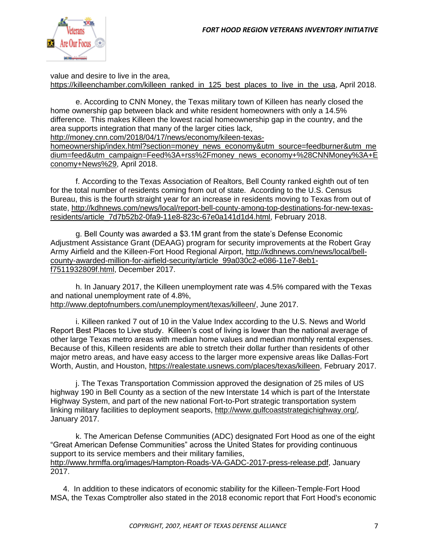

value and desire to live in the area, [https://killeenchamber.com/killeen\\_ranked\\_in\\_125\\_best\\_places\\_to\\_live\\_in\\_the\\_usa,](https://killeenchamber.com/killeen_ranked_in_125_best_places_to_live_in_the_usa) April 2018.

e. According to CNN Money, the Texas military town of Killeen has nearly closed the home ownership gap between black and white resident homeowners with only a 14.5% difference. This makes Killeen the lowest racial homeownership gap in the country, and the area supports integration that many of the larger cities lack,

[http://money.cnn.com/2018/04/17/news/economy/kileen-texas-](http://money.cnn.com/2018/04/17/news/economy/kileen-texas-homeownership/index.html?section=money_news_economy&utm_source=feedburner&utm_medium=feed&utm_campaign=Feed%3A+rss%2Fmoney_news_economy+%28CNNMoney%3A+Economy+News%29)

[homeownership/index.html?section=money\\_news\\_economy&utm\\_source=feedburner&utm\\_me](http://money.cnn.com/2018/04/17/news/economy/kileen-texas-homeownership/index.html?section=money_news_economy&utm_source=feedburner&utm_medium=feed&utm_campaign=Feed%3A+rss%2Fmoney_news_economy+%28CNNMoney%3A+Economy+News%29) [dium=feed&utm\\_campaign=Feed%3A+rss%2Fmoney\\_news\\_economy+%28CNNMoney%3A+E](http://money.cnn.com/2018/04/17/news/economy/kileen-texas-homeownership/index.html?section=money_news_economy&utm_source=feedburner&utm_medium=feed&utm_campaign=Feed%3A+rss%2Fmoney_news_economy+%28CNNMoney%3A+Economy+News%29) [conomy+News%29,](http://money.cnn.com/2018/04/17/news/economy/kileen-texas-homeownership/index.html?section=money_news_economy&utm_source=feedburner&utm_medium=feed&utm_campaign=Feed%3A+rss%2Fmoney_news_economy+%28CNNMoney%3A+Economy+News%29) April 2018.

f. According to the Texas Association of Realtors, Bell County ranked eighth out of ten for the total number of residents coming from out of state. According to the U.S. Census Bureau, this is the fourth straight year for an increase in residents moving to Texas from out of state, [http://kdhnews.com/news/local/report-bell-county-among-top-destinations-for-new-texas](http://kdhnews.com/news/local/report-bell-county-among-top-destinations-for-new-texas-residents/article_7d7b52b2-0fa9-11e8-823c-67e0a141d1d4.html)[residents/article\\_7d7b52b2-0fa9-11e8-823c-67e0a141d1d4.html,](http://kdhnews.com/news/local/report-bell-county-among-top-destinations-for-new-texas-residents/article_7d7b52b2-0fa9-11e8-823c-67e0a141d1d4.html) February 2018.

g. Bell County was awarded a \$3.1M grant from the state's Defense Economic Adjustment Assistance Grant (DEAAG) program for security improvements at the Robert Gray Army Airfield and the Killeen-Fort Hood Regional Airport, [http://kdhnews.com/news/local/bell](http://kdhnews.com/news/local/bell-county-awarded-million-for-airfield-security/article_99a030c2-e086-11e7-8eb1-f7511932809f.html)[county-awarded-million-for-airfield-security/article\\_99a030c2-e086-11e7-8eb1](http://kdhnews.com/news/local/bell-county-awarded-million-for-airfield-security/article_99a030c2-e086-11e7-8eb1-f7511932809f.html) [f7511932809f.html,](http://kdhnews.com/news/local/bell-county-awarded-million-for-airfield-security/article_99a030c2-e086-11e7-8eb1-f7511932809f.html) December 2017.

h. In January 2017, the Killeen unemployment rate was 4.5% compared with the Texas and national unemployment rate of 4.8%, [http://www.deptofnumbers.com/unemployment/texas/killeen/,](http://www.deptofnumbers.com/unemployment/texas/killeen/) June 2017.

i. Killeen ranked 7 out of 10 in the Value Index according to the U.S. News and World Report Best Places to Live study. Killeen's cost of living is lower than the national average of other large Texas metro areas with median home values and median monthly rental expenses. Because of this, Killeen residents are able to stretch their dollar further than residents of other major metro areas, and have easy access to the larger more expensive areas like Dallas-Fort Worth, Austin, and Houston, [https://realestate.usnews.com/places/texas/killeen,](https://realestate.usnews.com/places/texas/killeen) February 2017.

j. The Texas Transportation Commission approved the designation of 25 miles of US highway 190 in Bell County as a section of the new Interstate 14 which is part of the Interstate Highway System, and part of the new national Fort-to-Port strategic transportation system linking military facilities to deployment seaports, [http://www.gulfcoaststrategichighway.org/,](http://www.gulfcoaststrategichighway.org/) January 2017.

k. The American Defense Communities (ADC) designated Fort Hood as one of the eight "Great American Defense Communities" across the United States for providing continuous support to its service members and their military families, [http://www.hrmffa.org/images/Hampton-Roads-VA-GADC-2017-press-release.pdf,](http://www.hrmffa.org/images/Hampton-Roads-VA-GADC-2017-press-release.pdf) January 2017.

4. In addition to these indicators of economic stability for the Killeen-Temple-Fort Hood MSA, the Texas Comptroller also stated in the 2018 economic report that Fort Hood's economic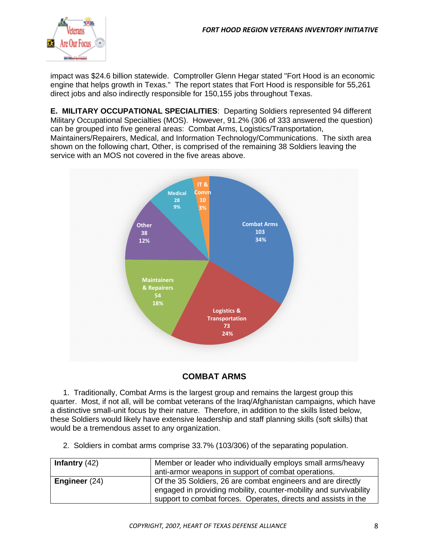

impact was \$24.6 billion statewide. Comptroller Glenn Hegar stated "Fort Hood is an economic engine that helps growth in Texas." The report states that Fort Hood is responsible for 55,261 direct jobs and also indirectly responsible for 150,155 jobs throughout Texas.

**E. MILITARY OCCUPATIONAL SPECIALITIES**: Departing Soldiers represented 94 different Military Occupational Specialties (MOS). However, 91.2% (306 of 333 answered the question) can be grouped into five general areas: Combat Arms, Logistics/Transportation, Maintainers/Repairers, Medical, and Information Technology/Communications. The sixth area shown on the following chart, Other, is comprised of the remaining 38 Soldiers leaving the service with an MOS not covered in the five areas above.



#### **COMBAT ARMS**

1. Traditionally, Combat Arms is the largest group and remains the largest group this quarter. Most, if not all, will be combat veterans of the Iraq/Afghanistan campaigns, which have a distinctive small-unit focus by their nature. Therefore, in addition to the skills listed below, these Soldiers would likely have extensive leadership and staff planning skills (soft skills) that would be a tremendous asset to any organization.

2. Soldiers in combat arms comprise 33.7% (103/306) of the separating population.

| Infantry $(42)$ | Member or leader who individually employs small arms/heavy                                                                                                                                          |
|-----------------|-----------------------------------------------------------------------------------------------------------------------------------------------------------------------------------------------------|
|                 | anti-armor weapons in support of combat operations.                                                                                                                                                 |
| Engineer $(24)$ | Of the 35 Soldiers, 26 are combat engineers and are directly<br>engaged in providing mobility, counter-mobility and survivability<br>support to combat forces. Operates, directs and assists in the |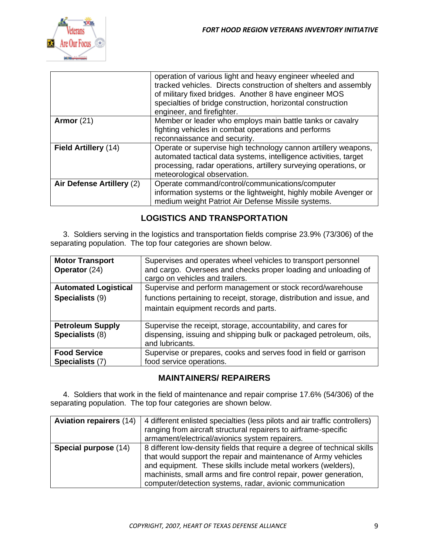

|                           | operation of various light and heavy engineer wheeled and<br>tracked vehicles. Directs construction of shelters and assembly<br>of military fixed bridges. Another 8 have engineer MOS<br>specialties of bridge construction, horizontal construction<br>engineer, and firefighter. |
|---------------------------|-------------------------------------------------------------------------------------------------------------------------------------------------------------------------------------------------------------------------------------------------------------------------------------|
| Armor $(21)$              | Member or leader who employs main battle tanks or cavalry<br>fighting vehicles in combat operations and performs<br>reconnaissance and security.                                                                                                                                    |
| Field Artillery (14)      | Operate or supervise high technology cannon artillery weapons,<br>automated tactical data systems, intelligence activities, target<br>processing, radar operations, artillery surveying operations, or<br>meteorological observation.                                               |
| Air Defense Artillery (2) | Operate command/control/communications/computer<br>information systems or the lightweight, highly mobile Avenger or<br>medium weight Patriot Air Defense Missile systems.                                                                                                           |

#### **LOGISTICS AND TRANSPORTATION**

3. Soldiers serving in the logistics and transportation fields comprise 23.9% (73/306) of the separating population. The top four categories are shown below.

| <b>Motor Transport</b><br>Operator (24)        | Supervises and operates wheel vehicles to transport personnel<br>and cargo. Oversees and checks proper loading and unloading of<br>cargo on vehicles and trailers.           |
|------------------------------------------------|------------------------------------------------------------------------------------------------------------------------------------------------------------------------------|
| <b>Automated Logistical</b><br>Specialists (9) | Supervise and perform management or stock record/warehouse<br>functions pertaining to receipt, storage, distribution and issue, and<br>maintain equipment records and parts. |
| <b>Petroleum Supply</b><br>Specialists (8)     | Supervise the receipt, storage, accountability, and cares for<br>dispensing, issuing and shipping bulk or packaged petroleum, oils,<br>and lubricants.                       |
| <b>Food Service</b><br>Specialists (7)         | Supervise or prepares, cooks and serves food in field or garrison<br>food service operations.                                                                                |

#### **MAINTAINERS/ REPAIRERS**

4. Soldiers that work in the field of maintenance and repair comprise 17.6% (54/306) of the separating population. The top four categories are shown below.

| <b>Aviation repairers (14)</b> | 4 different enlisted specialties (less pilots and air traffic controllers) |
|--------------------------------|----------------------------------------------------------------------------|
|                                | ranging from aircraft structural repairers to airframe-specific            |
|                                | armament/electrical/avionics system repairers.                             |
| Special purpose (14)           | 8 different low-density fields that require a degree of technical skills   |
|                                | that would support the repair and maintenance of Army vehicles             |
|                                | and equipment. These skills include metal workers (welders),               |
|                                | machinists, small arms and fire control repair, power generation,          |
|                                | computer/detection systems, radar, avionic communication                   |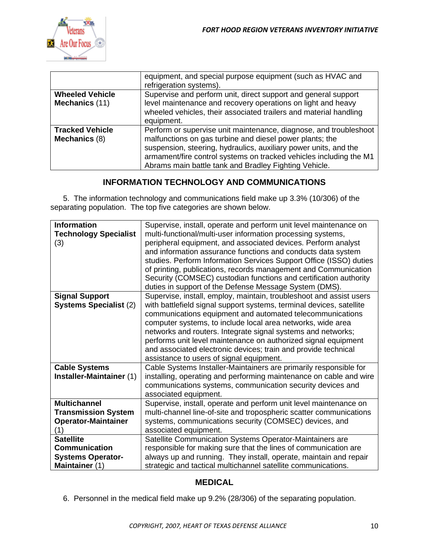

|                                          | equipment, and special purpose equipment (such as HVAC and<br>refrigeration systems).                                                                                                                                                                                                                                            |
|------------------------------------------|----------------------------------------------------------------------------------------------------------------------------------------------------------------------------------------------------------------------------------------------------------------------------------------------------------------------------------|
| <b>Wheeled Vehicle</b><br>Mechanics (11) | Supervise and perform unit, direct support and general support<br>level maintenance and recovery operations on light and heavy<br>wheeled vehicles, their associated trailers and material handling<br>equipment.                                                                                                                |
| <b>Tracked Vehicle</b><br>Mechanics (8)  | Perform or supervise unit maintenance, diagnose, and troubleshoot<br>malfunctions on gas turbine and diesel power plants; the<br>suspension, steering, hydraulics, auxiliary power units, and the<br>armament/fire control systems on tracked vehicles including the M1<br>Abrams main battle tank and Bradley Fighting Vehicle. |

#### **INFORMATION TECHNOLOGY AND COMMUNICATIONS**

5. The information technology and communications field make up 3.3% (10/306) of the separating population. The top five categories are shown below.

| <b>Information</b>            | Supervise, install, operate and perform unit level maintenance on    |
|-------------------------------|----------------------------------------------------------------------|
| <b>Technology Specialist</b>  | multi-functional/multi-user information processing systems,          |
| (3)                           | peripheral equipment, and associated devices. Perform analyst        |
|                               | and information assurance functions and conducts data system         |
|                               | studies. Perform Information Services Support Office (ISSO) duties   |
|                               | of printing, publications, records management and Communication      |
|                               | Security (COMSEC) custodian functions and certification authority    |
|                               | duties in support of the Defense Message System (DMS).               |
| <b>Signal Support</b>         | Supervise, install, employ, maintain, troubleshoot and assist users  |
| <b>Systems Specialist (2)</b> | with battlefield signal support systems, terminal devices, satellite |
|                               | communications equipment and automated telecommunications            |
|                               | computer systems, to include local area networks, wide area          |
|                               | networks and routers. Integrate signal systems and networks;         |
|                               | performs unit level maintenance on authorized signal equipment       |
|                               | and associated electronic devices; train and provide technical       |
|                               | assistance to users of signal equipment.                             |
| <b>Cable Systems</b>          | Cable Systems Installer-Maintainers are primarily responsible for    |
| Installer-Maintainer (1)      | installing, operating and performing maintenance on cable and wire   |
|                               | communications systems, communication security devices and           |
|                               | associated equipment.                                                |
| <b>Multichannel</b>           | Supervise, install, operate and perform unit level maintenance on    |
| <b>Transmission System</b>    | multi-channel line-of-site and tropospheric scatter communications   |
| <b>Operator-Maintainer</b>    | systems, communications security (COMSEC) devices, and               |
| (1)                           | associated equipment.                                                |
| <b>Satellite</b>              | Satellite Communication Systems Operator-Maintainers are             |
| <b>Communication</b>          | responsible for making sure that the lines of communication are      |
| <b>Systems Operator-</b>      | always up and running. They install, operate, maintain and repair    |
| Maintainer (1)                | strategic and tactical multichannel satellite communications.        |

#### **MEDICAL**

6. Personnel in the medical field make up 9.2% (28/306) of the separating population.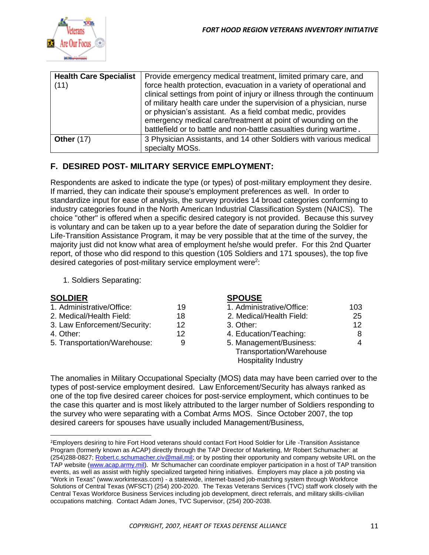

| <b>Health Care Specialist</b><br>(11) | Provide emergency medical treatment, limited primary care, and<br>force health protection, evacuation in a variety of operational and<br>clinical settings from point of injury or illness through the continuum<br>of military health care under the supervision of a physician, nurse<br>or physician's assistant. As a field combat medic, provides<br>emergency medical care/treatment at point of wounding on the<br>battlefield or to battle and non-battle casualties during wartime. |
|---------------------------------------|----------------------------------------------------------------------------------------------------------------------------------------------------------------------------------------------------------------------------------------------------------------------------------------------------------------------------------------------------------------------------------------------------------------------------------------------------------------------------------------------|
| <b>Other (17)</b>                     | 3 Physician Assistants, and 14 other Soldiers with various medical<br>specialty MOSs.                                                                                                                                                                                                                                                                                                                                                                                                        |

#### **F. DESIRED POST- MILITARY SERVICE EMPLOYMENT:**

Respondents are asked to indicate the type (or types) of post-military employment they desire. If married, they can indicate their spouse's employment preferences as well. In order to standardize input for ease of analysis, the survey provides 14 broad categories conforming to industry categories found in the North American Industrial Classification System (NAICS). The choice "other" is offered when a specific desired category is not provided. Because this survey is voluntary and can be taken up to a year before the date of separation during the Soldier for Life-Transition Assistance Program, it may be very possible that at the time of the survey, the majority just did not know what area of employment he/she would prefer. For this 2nd Quarter report, of those who did respond to this question (105 Soldiers and 171 spouses), the top five desired categories of post-military service employment were<sup>2</sup>:

1. Soldiers Separating:

#### **SOLDIER SPOUSE**

| 1. Administrative/Office:    | 19 | 1. Administrative/Office: | 103 |
|------------------------------|----|---------------------------|-----|
| 2. Medical/Health Field:     | 18 | 2. Medical/Health Field:  | 25  |
| 3. Law Enforcement/Security: | 12 | 3. Other:                 | 12. |
| 4. Other:                    | 12 | 4. Education/Teaching:    | 8   |
| 5. Transportation/Warehouse: | 9  | 5. Management/Business:   | 4   |
|                              |    | Transportation/Warehouse  |     |

| 1. Administrative/Office:   | 103 |
|-----------------------------|-----|
| 2. Medical/Health Field:    | 25  |
| 3. Other:                   | 12  |
| 4. Education/Teaching:      | 8   |
| 5. Management/Business:     |     |
| Transportation/Warehouse    |     |
| <b>Hospitality Industry</b> |     |

The anomalies in Military Occupational Specialty (MOS) data may have been carried over to the types of post-service employment desired. Law Enforcement/Security has always ranked as one of the top five desired career choices for post-service employment, which continues to be the case this quarter and is most likely attributed to the larger number of Soldiers responding to the survey who were separating with a Combat Arms MOS. Since October 2007, the top desired careers for spouses have usually included Management/Business,

<sup>&</sup>lt;sup>2</sup>Employers desiring to hire Fort Hood veterans should contact Fort Hood Soldier for Life -Transition Assistance Program (formerly known as ACAP) directly through the TAP Director of Marketing, Mr Robert Schumacher: at (254)288-0827; [Robert.c.schumacher.civ@mail.mil;](mailto:Robert.c.schumacher.civ@mail.mil) or by posting their opportunity and company website URL on the TAP website [\(www.acap.army.mil\)](http://www.acap.army.mil/). Mr Schumacher can coordinate employer participation in a host of TAP transition events, as well as assist with highly specialized targeted hiring initiatives. Employers may place a job posting via "Work in Texas" (www.workintexas.com) - a statewide, internet-based job-matching system through Workforce Solutions of Central Texas (WFSCT) (254) 200-2020. The Texas Veterans Services (TVC) staff work closely with the Central Texas Workforce Business Services including job development, direct referrals, and military skills-civilian occupations matching. Contact Adam Jones, TVC Supervisor, (254) 200-2038.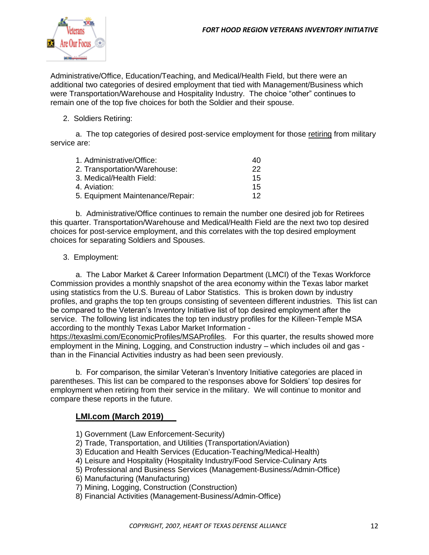

Administrative/Office, Education/Teaching, and Medical/Health Field, but there were an additional two categories of desired employment that tied with Management/Business which were Transportation/Warehouse and Hospitality Industry. The choice "other" continues to remain one of the top five choices for both the Soldier and their spouse.

#### 2. Soldiers Retiring:

a. The top categories of desired post-service employment for those retiring from military service are:

| 40 |
|----|
| 22 |
| 15 |
| 15 |
| 12 |
|    |

b. Administrative/Office continues to remain the number one desired job for Retirees this quarter. Transportation/Warehouse and Medical/Health Field are the next two top desired choices for post-service employment, and this correlates with the top desired employment choices for separating Soldiers and Spouses.

#### 3. Employment:

a. The Labor Market & Career Information Department (LMCI) of the Texas Workforce Commission provides a monthly snapshot of the area economy within the Texas labor market using statistics from the U.S. Bureau of Labor Statistics. This is broken down by industry profiles, and graphs the top ten groups consisting of seventeen different industries. This list can be compared to the Veteran's Inventory Initiative list of top desired employment after the service. The following list indicates the top ten industry profiles for the Killeen-Temple MSA according to the monthly Texas Labor Market Information -

<https://texaslmi.com/EconomicProfiles/MSAProfiles>. For this quarter, the results showed more employment in the Mining, Logging, and Construction industry – which includes oil and gas than in the Financial Activities industry as had been seen previously.

b. For comparison, the similar Veteran's Inventory Initiative categories are placed in parentheses. This list can be compared to the responses above for Soldiers' top desires for employment when retiring from their service in the military. We will continue to monitor and compare these reports in the future.

#### **LMI.com (March 2019)**

- 1) Government (Law Enforcement-Security)
- 2) Trade, Transportation, and Utilities (Transportation/Aviation)
- 3) Education and Health Services (Education-Teaching/Medical-Health)
- 4) Leisure and Hospitality (Hospitality Industry/Food Service-Culinary Arts
- 5) Professional and Business Services (Management-Business/Admin-Office)
- 6) Manufacturing (Manufacturing)
- 7) Mining, Logging, Construction (Construction)
- 8) Financial Activities (Management-Business/Admin-Office)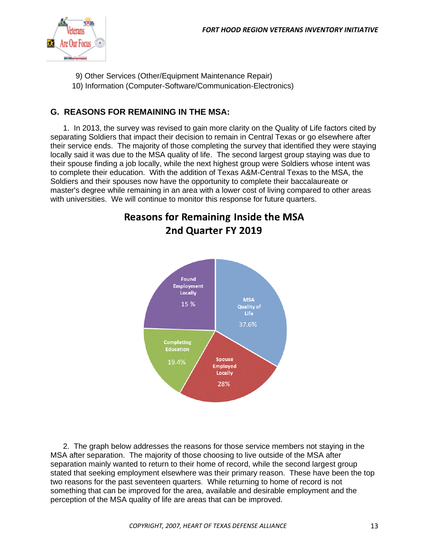

- 9) Other Services (Other/Equipment Maintenance Repair)
- 10) Information (Computer-Software/Communication-Electronics)

#### **G. REASONS FOR REMAINING IN THE MSA:**

1. In 2013, the survey was revised to gain more clarity on the Quality of Life factors cited by separating Soldiers that impact their decision to remain in Central Texas or go elsewhere after their service ends. The majority of those completing the survey that identified they were staying locally said it was due to the MSA quality of life. The second largest group staying was due to their spouse finding a job locally, while the next highest group were Soldiers whose intent was to complete their education. With the addition of Texas A&M-Central Texas to the MSA, the Soldiers and their spouses now have the opportunity to complete their baccalaureate or master's degree while remaining in an area with a lower cost of living compared to other areas with universities. We will continue to monitor this response for future quarters.



## **Reasons for Remaining Inside the MSA** 2nd Quarter FY 2019

2. The graph below addresses the reasons for those service members not staying in the MSA after separation. The majority of those choosing to live outside of the MSA after separation mainly wanted to return to their home of record, while the second largest group stated that seeking employment elsewhere was their primary reason. These have been the top two reasons for the past seventeen quarters. While returning to home of record is not something that can be improved for the area, available and desirable employment and the perception of the MSA quality of life are areas that can be improved.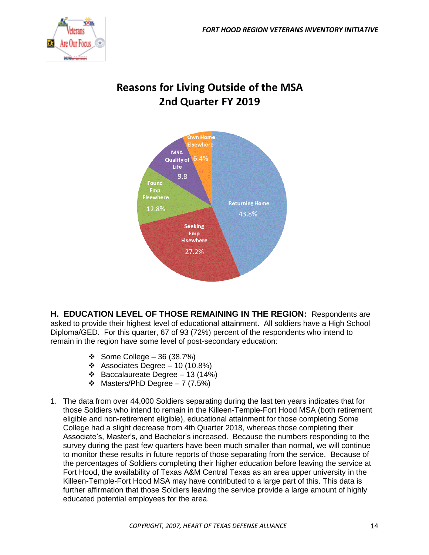

## **Reasons for Living Outside of the MSA** 2nd Quarter FY 2019



**H. EDUCATION LEVEL OF THOSE REMAINING IN THE REGION:** Respondents are asked to provide their highest level of educational attainment. All soldiers have a High School Diploma/GED. For this quarter, 67 of 93 (72%) percent of the respondents who intend to remain in the region have some level of post-secondary education:

- ❖ Some College 36 (38.7%)
- ❖ Associates Degree 10 (10.8%)
- ❖ Baccalaureate Degree 13 (14%)
- ❖ Masters/PhD Degree 7 (7.5%)
- 1. The data from over 44,000 Soldiers separating during the last ten years indicates that for those Soldiers who intend to remain in the Killeen-Temple-Fort Hood MSA (both retirement eligible and non-retirement eligible), educational attainment for those completing Some College had a slight decrease from 4th Quarter 2018, whereas those completing their Associate's, Master's, and Bachelor's increased. Because the numbers responding to the survey during the past few quarters have been much smaller than normal, we will continue to monitor these results in future reports of those separating from the service. Because of the percentages of Soldiers completing their higher education before leaving the service at Fort Hood, the availability of Texas A&M Central Texas as an area upper university in the Killeen-Temple-Fort Hood MSA may have contributed to a large part of this. This data is further affirmation that those Soldiers leaving the service provide a large amount of highly educated potential employees for the area.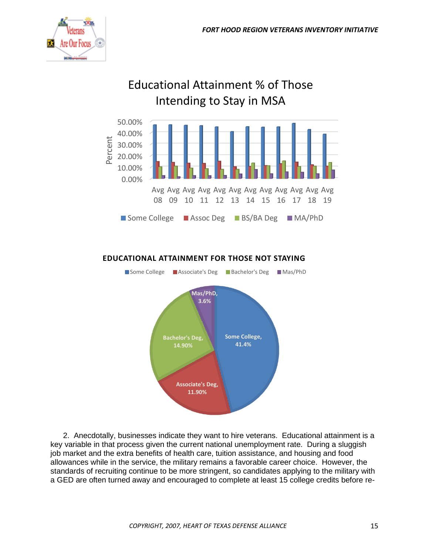

## Educational Attainment % of Those Intending to Stay in MSA



#### **EDUCATIONAL ATTAINMENT FOR THOSE NOT STAYING**



2. Anecdotally, businesses indicate they want to hire veterans. Educational attainment is a key variable in that process given the current national unemployment rate. During a sluggish job market and the extra benefits of health care, tuition assistance, and housing and food allowances while in the service, the military remains a favorable career choice. However, the standards of recruiting continue to be more stringent, so candidates applying to the military with a GED are often turned away and encouraged to complete at least 15 college credits before re-